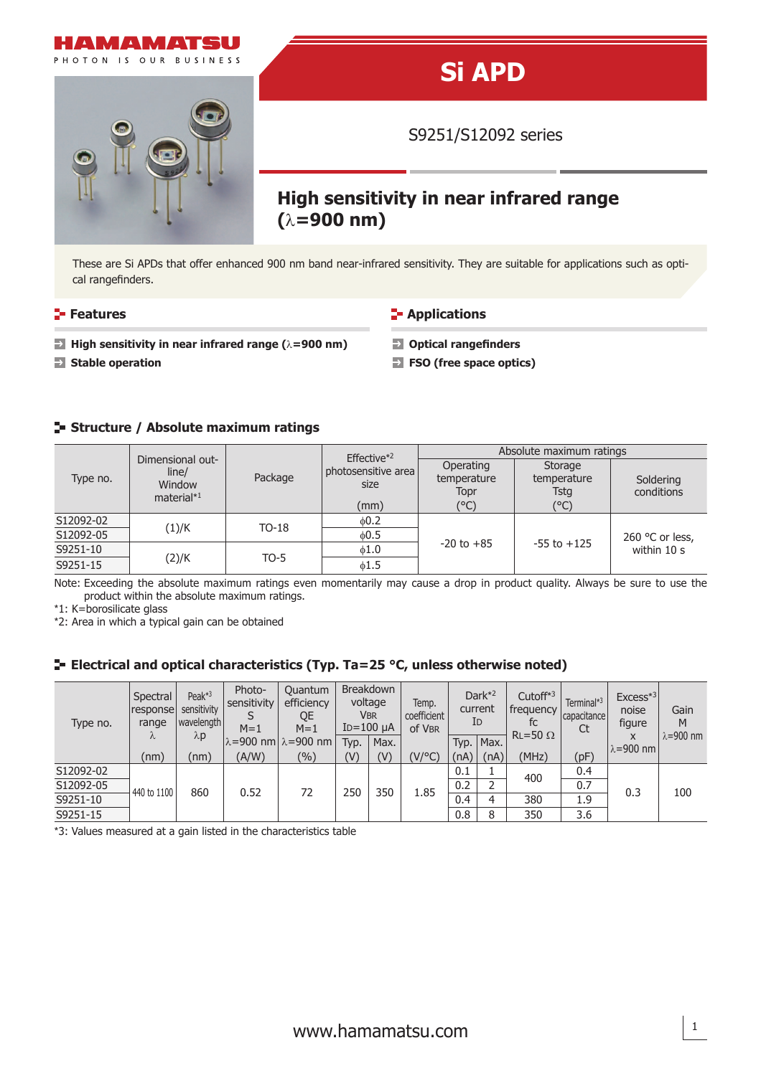

## **Si APD**

S9251/S12092 series

# **High sensitivity in near infrared range**

These are Si APDs that offer enhanced 900 nm band near-infrared sensitivity. They are suitable for applications such as optical rangefinders.

**Features Contractions Contractions Contractions** 

- **High sensitivity in near infrared range (**λ=900 nm) **Depending Deptical rangefinders**
- 
- 
- **Stable operation FSO** (free space optics)

### **Structure / Absolute maximum ratings**

| Type no.  | Dimensional out-                 |         | Effective <sup>*2</sup>       | Absolute maximum ratings         |                                |                                |  |  |  |
|-----------|----------------------------------|---------|-------------------------------|----------------------------------|--------------------------------|--------------------------------|--|--|--|
|           | line/<br>Window<br>material $*1$ | Package | photosensitive area  <br>size | Operating<br>temperature<br>Topr | Storage<br>temperature<br>Tsta | Soldering<br>conditions        |  |  |  |
|           |                                  |         | (mm)                          | (°C)                             | $(^{\circ}C)$                  |                                |  |  |  |
| S12092-02 |                                  | $TO-18$ | 60.2                          |                                  |                                | 260 °C or less,<br>within 10 s |  |  |  |
| S12092-05 | (1)/K                            |         | 0.5                           |                                  |                                |                                |  |  |  |
| S9251-10  |                                  | $TO-5$  | 0.16                          | $-20$ to $+85$                   | $-55$ to $+125$                |                                |  |  |  |
| S9251-15  | (2)/K                            |         | $\phi$ 1.5                    |                                  |                                |                                |  |  |  |

Note: Exceeding the absolute maximum ratings even momentarily may cause a drop in product quality. Always be sure to use the product within the absolute maximum ratings.

\*1: K=borosilicate glass

\*2: Area in which a typical gain can be obtained

### **E-** Electrical and optical characteristics (Typ. Ta=25 °C, unless otherwise noted)

| Type no.  | Spectral<br> response <br>range<br>$\Lambda$ | Peak $*3$<br>sensitivity<br>wavelength<br>$\lambda$ p | Photo-<br>sensitivity<br>$M=1$ | Quantum<br>efficiency<br>QE<br>$M=1$ | $ID=100 \mu A$ | <b>Breakdown</b><br>voltage<br>VBR | Temp.<br>coefficient<br>of VBR | ΙD   | Dark $*^2$<br>current | Cutoff $*3$<br>I frequency<br>fc<br>$RL = 50 \Omega$ | Terminal* <sup>3</sup><br>capacitance<br>Ct | $Excess*3$<br>noise<br>figure<br>X<br>$\lambda = 900$ nm | Gain<br>M<br>$\lambda = 900$ nm |
|-----------|----------------------------------------------|-------------------------------------------------------|--------------------------------|--------------------------------------|----------------|------------------------------------|--------------------------------|------|-----------------------|------------------------------------------------------|---------------------------------------------|----------------------------------------------------------|---------------------------------|
|           |                                              |                                                       |                                | λ=900 nm  λ=900 nm                   | Typ.           | Max.                               |                                | Typ. | Max.                  |                                                      |                                             |                                                          |                                 |
|           | (nm)                                         | (nm)                                                  | (A/W)                          | (%)                                  | (V)            | (V)                                | (V/°C)                         | (nA) | (nA)                  | (MHz)                                                | (pF)                                        |                                                          |                                 |
| S12092-02 | 440 to 1100                                  | 860                                                   | 0.52                           | 72                                   | 250            | 350                                | 1.85                           | 0.1  |                       | 400                                                  | 0.4                                         | 0.3                                                      |                                 |
| S12092-05 |                                              |                                                       |                                |                                      |                |                                    |                                | 0.2  | 2                     |                                                      | 0.7                                         |                                                          | 100                             |
| S9251-10  |                                              |                                                       |                                |                                      |                |                                    |                                | 0.4  | 4                     | 380                                                  | 1.9                                         |                                                          |                                 |
| S9251-15  |                                              |                                                       |                                |                                      |                |                                    |                                | 0.8  | 8                     | 350                                                  | 3.6                                         |                                                          |                                 |

\*3: Values measured at a gain listed in the characteristics table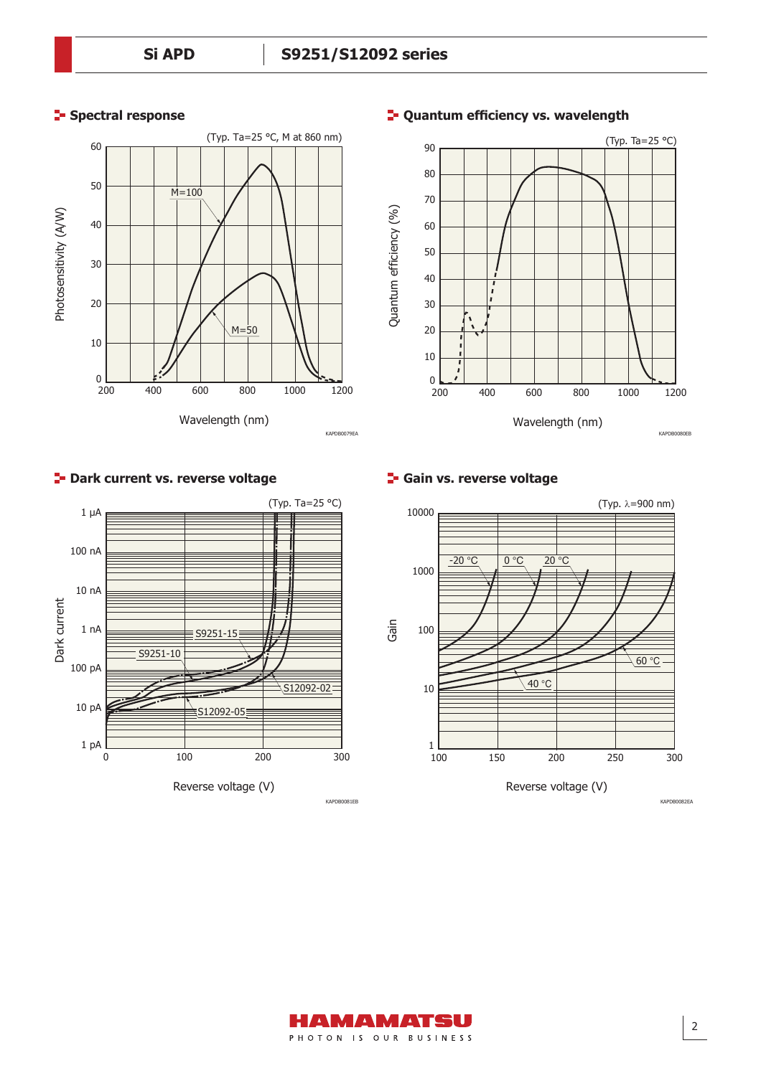#### **Spectral response**





#### **<sup>1</sup>- Quantum efficiency vs. wavelength**

#### **P** Dark current vs. reverse voltage



**Gain vs. reverse voltage**



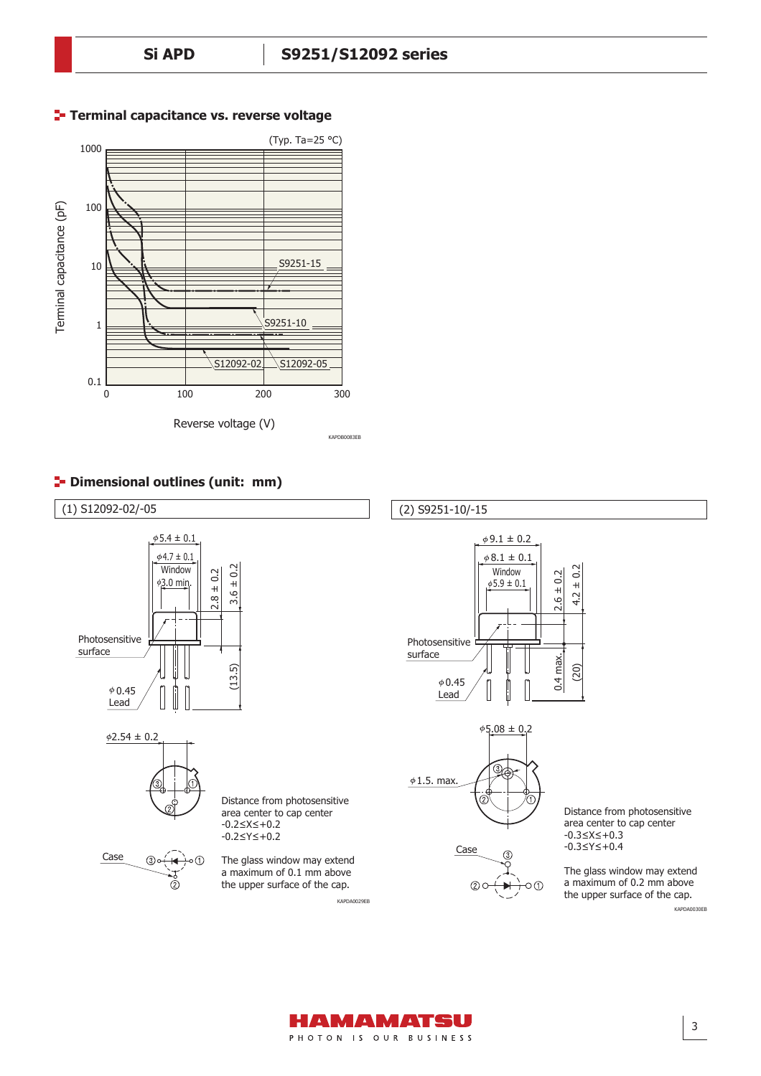

#### **Terminal capacitance vs. reverse voltage**